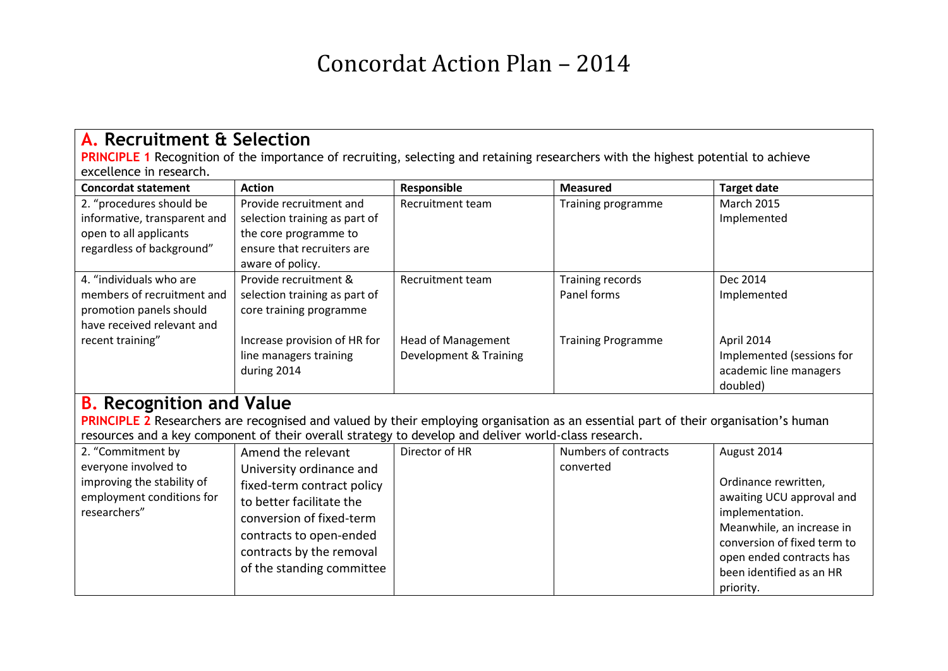## Concordat Action Plan – 2014

| <b>A. Recruitment &amp; Selection</b>                                                                                                                                                                    |                                                                                                                                           |                           |                           |                                    |  |
|----------------------------------------------------------------------------------------------------------------------------------------------------------------------------------------------------------|-------------------------------------------------------------------------------------------------------------------------------------------|---------------------------|---------------------------|------------------------------------|--|
|                                                                                                                                                                                                          | <b>PRINCIPLE 1</b> Recognition of the importance of recruiting, selecting and retaining researchers with the highest potential to achieve |                           |                           |                                    |  |
| excellence in research.                                                                                                                                                                                  |                                                                                                                                           |                           |                           |                                    |  |
| <b>Concordat statement</b>                                                                                                                                                                               | <b>Action</b>                                                                                                                             | Responsible               | <b>Measured</b>           | <b>Target date</b>                 |  |
| 2. "procedures should be                                                                                                                                                                                 | Provide recruitment and                                                                                                                   | Recruitment team          | Training programme        | <b>March 2015</b>                  |  |
| informative, transparent and                                                                                                                                                                             | selection training as part of                                                                                                             |                           |                           | Implemented                        |  |
| open to all applicants                                                                                                                                                                                   | the core programme to                                                                                                                     |                           |                           |                                    |  |
| regardless of background"                                                                                                                                                                                | ensure that recruiters are<br>aware of policy.                                                                                            |                           |                           |                                    |  |
| 4. "individuals who are                                                                                                                                                                                  | Provide recruitment &                                                                                                                     | <b>Recruitment team</b>   | <b>Training records</b>   | Dec 2014                           |  |
| members of recruitment and                                                                                                                                                                               | selection training as part of                                                                                                             |                           | Panel forms               | Implemented                        |  |
| promotion panels should                                                                                                                                                                                  | core training programme                                                                                                                   |                           |                           |                                    |  |
| have received relevant and                                                                                                                                                                               |                                                                                                                                           |                           |                           |                                    |  |
| recent training"                                                                                                                                                                                         | Increase provision of HR for                                                                                                              | <b>Head of Management</b> | <b>Training Programme</b> | April 2014                         |  |
|                                                                                                                                                                                                          | line managers training                                                                                                                    | Development & Training    |                           | Implemented (sessions for          |  |
|                                                                                                                                                                                                          | during 2014                                                                                                                               |                           |                           | academic line managers<br>doubled) |  |
|                                                                                                                                                                                                          |                                                                                                                                           |                           |                           |                                    |  |
| <b>B.</b> Recognition and Value                                                                                                                                                                          |                                                                                                                                           |                           |                           |                                    |  |
| PRINCIPLE 2 Researchers are recognised and valued by their employing organisation as an essential part of their organisation's human                                                                     |                                                                                                                                           |                           |                           |                                    |  |
| resources and a key component of their overall strategy to develop and deliver world-class research.<br>Director of HR<br>2. "Commitment by<br>Amend the relevant<br>Numbers of contracts<br>August 2014 |                                                                                                                                           |                           |                           |                                    |  |
| everyone involved to                                                                                                                                                                                     | University ordinance and                                                                                                                  |                           | converted                 |                                    |  |
| improving the stability of                                                                                                                                                                               | fixed-term contract policy                                                                                                                |                           |                           | Ordinance rewritten,               |  |
| employment conditions for                                                                                                                                                                                | to better facilitate the                                                                                                                  |                           |                           | awaiting UCU approval and          |  |
| researchers"                                                                                                                                                                                             | conversion of fixed-term                                                                                                                  |                           |                           | implementation.                    |  |
|                                                                                                                                                                                                          |                                                                                                                                           |                           |                           | Meanwhile, an increase in          |  |
|                                                                                                                                                                                                          | contracts to open-ended                                                                                                                   |                           |                           | conversion of fixed term to        |  |
|                                                                                                                                                                                                          | contracts by the removal                                                                                                                  |                           |                           | open ended contracts has           |  |
|                                                                                                                                                                                                          | of the standing committee                                                                                                                 |                           |                           | been identified as an HR           |  |
|                                                                                                                                                                                                          |                                                                                                                                           |                           |                           | priority.                          |  |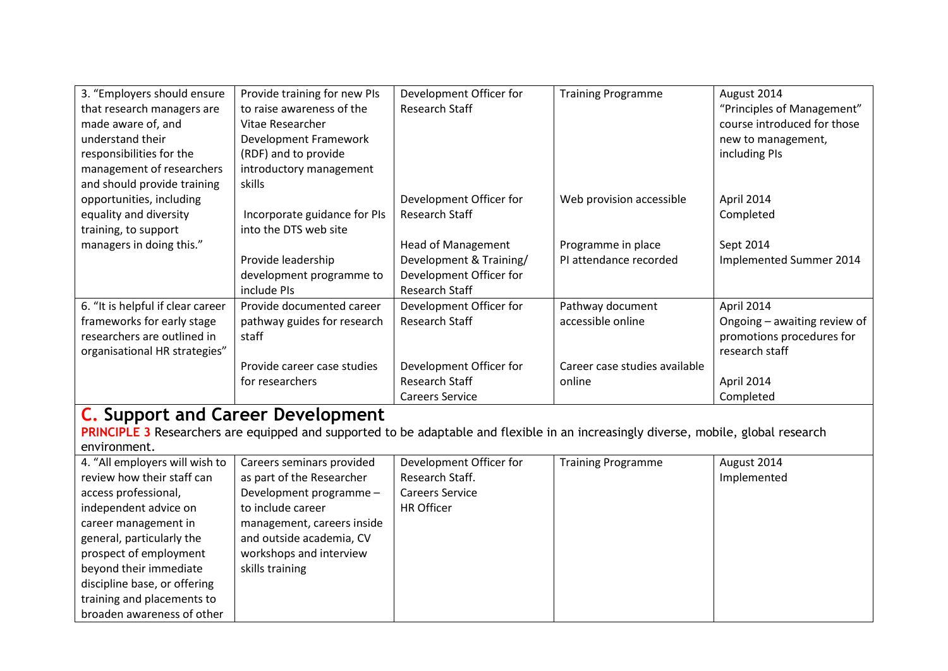| 3. "Employers should ensure                                                                                                         | Provide training for new PIs             | Development Officer for   | <b>Training Programme</b>     | August 2014                  |
|-------------------------------------------------------------------------------------------------------------------------------------|------------------------------------------|---------------------------|-------------------------------|------------------------------|
| that research managers are                                                                                                          | to raise awareness of the                | <b>Research Staff</b>     |                               | "Principles of Management"   |
| made aware of, and                                                                                                                  | Vitae Researcher                         |                           |                               | course introduced for those  |
| understand their                                                                                                                    | Development Framework                    |                           |                               | new to management,           |
| responsibilities for the                                                                                                            | (RDF) and to provide                     |                           |                               | including PIs                |
| management of researchers                                                                                                           | introductory management                  |                           |                               |                              |
| and should provide training                                                                                                         | skills                                   |                           |                               |                              |
| opportunities, including                                                                                                            |                                          | Development Officer for   | Web provision accessible      | April 2014                   |
| equality and diversity                                                                                                              | Incorporate guidance for PIs             | <b>Research Staff</b>     |                               | Completed                    |
| training, to support                                                                                                                | into the DTS web site                    |                           |                               |                              |
| managers in doing this."                                                                                                            |                                          | <b>Head of Management</b> | Programme in place            | Sept 2014                    |
|                                                                                                                                     | Provide leadership                       | Development & Training/   | PI attendance recorded        | Implemented Summer 2014      |
|                                                                                                                                     | development programme to                 | Development Officer for   |                               |                              |
|                                                                                                                                     | include PIs                              | <b>Research Staff</b>     |                               |                              |
| 6. "It is helpful if clear career                                                                                                   | Provide documented career                | Development Officer for   | Pathway document              | April 2014                   |
| frameworks for early stage                                                                                                          | pathway guides for research              | <b>Research Staff</b>     | accessible online             | Ongoing - awaiting review of |
| researchers are outlined in                                                                                                         | staff                                    |                           |                               | promotions procedures for    |
| organisational HR strategies"                                                                                                       |                                          |                           |                               | research staff               |
|                                                                                                                                     | Provide career case studies              | Development Officer for   | Career case studies available |                              |
|                                                                                                                                     | for researchers                          | <b>Research Staff</b>     | online                        | April 2014                   |
|                                                                                                                                     |                                          | <b>Careers Service</b>    |                               | Completed                    |
|                                                                                                                                     | <b>C.</b> Support and Career Development |                           |                               |                              |
| PRINCIPLE 3 Researchers are equipped and supported to be adaptable and flexible in an increasingly diverse, mobile, global research |                                          |                           |                               |                              |
| environment.                                                                                                                        |                                          |                           |                               |                              |
| 4. "All employers will wish to                                                                                                      | Careers seminars provided                | Development Officer for   | <b>Training Programme</b>     | August 2014                  |
| review how their staff can                                                                                                          | as part of the Researcher                | Research Staff.           |                               | Implemented                  |
| access professional,                                                                                                                | Development programme -                  | <b>Careers Service</b>    |                               |                              |
| independent advice on                                                                                                               | to include career                        | <b>HR Officer</b>         |                               |                              |
| career management in                                                                                                                | management, careers inside               |                           |                               |                              |
| general, particularly the                                                                                                           | and outside academia, CV                 |                           |                               |                              |
| prospect of employment                                                                                                              | workshops and interview                  |                           |                               |                              |
| beyond their immediate                                                                                                              | skills training                          |                           |                               |                              |
| discipline base, or offering                                                                                                        |                                          |                           |                               |                              |
| training and placements to                                                                                                          |                                          |                           |                               |                              |

broaden awareness of other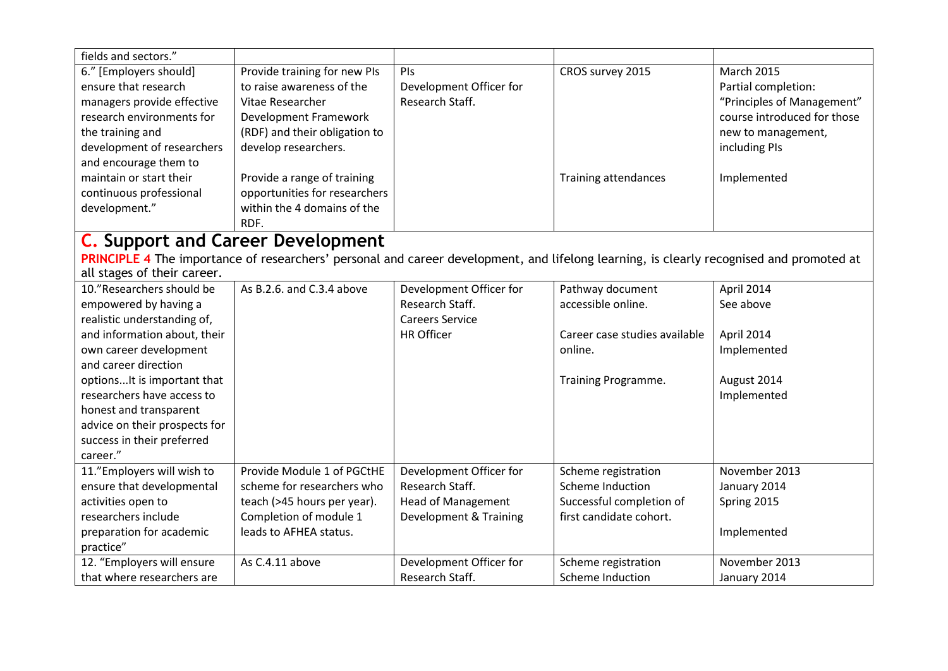| fields and sectors."          |                                                                                                                                          |                           |                               |                             |
|-------------------------------|------------------------------------------------------------------------------------------------------------------------------------------|---------------------------|-------------------------------|-----------------------------|
| 6." [Employers should]        | Provide training for new PIs                                                                                                             | PIs                       | CROS survey 2015              | <b>March 2015</b>           |
| ensure that research          | to raise awareness of the                                                                                                                | Development Officer for   |                               | Partial completion:         |
| managers provide effective    | Vitae Researcher                                                                                                                         | Research Staff.           |                               | "Principles of Management"  |
| research environments for     | Development Framework                                                                                                                    |                           |                               | course introduced for those |
| the training and              | (RDF) and their obligation to                                                                                                            |                           |                               | new to management,          |
| development of researchers    | develop researchers.                                                                                                                     |                           |                               | including PIs               |
| and encourage them to         |                                                                                                                                          |                           |                               |                             |
| maintain or start their       | Provide a range of training                                                                                                              |                           | Training attendances          | Implemented                 |
| continuous professional       | opportunities for researchers                                                                                                            |                           |                               |                             |
| development."                 | within the 4 domains of the                                                                                                              |                           |                               |                             |
|                               | RDF.                                                                                                                                     |                           |                               |                             |
|                               | <b>C.</b> Support and Career Development                                                                                                 |                           |                               |                             |
|                               | PRINCIPLE 4 The importance of researchers' personal and career development, and lifelong learning, is clearly recognised and promoted at |                           |                               |                             |
| all stages of their career.   |                                                                                                                                          |                           |                               |                             |
| 10."Researchers should be     | As B.2.6. and C.3.4 above                                                                                                                | Development Officer for   | Pathway document              | April 2014                  |
| empowered by having a         |                                                                                                                                          | Research Staff.           | accessible online.            | See above                   |
| realistic understanding of,   |                                                                                                                                          | <b>Careers Service</b>    |                               |                             |
| and information about, their  |                                                                                                                                          | <b>HR Officer</b>         | Career case studies available | April 2014                  |
| own career development        |                                                                                                                                          |                           | online.                       | Implemented                 |
| and career direction          |                                                                                                                                          |                           |                               |                             |
| options It is important that  |                                                                                                                                          |                           | Training Programme.           | August 2014                 |
| researchers have access to    |                                                                                                                                          |                           |                               | Implemented                 |
| honest and transparent        |                                                                                                                                          |                           |                               |                             |
| advice on their prospects for |                                                                                                                                          |                           |                               |                             |
| success in their preferred    |                                                                                                                                          |                           |                               |                             |
| career."                      |                                                                                                                                          |                           |                               |                             |
| 11."Employers will wish to    | Provide Module 1 of PGCtHE                                                                                                               | Development Officer for   | Scheme registration           | November 2013               |
| ensure that developmental     | scheme for researchers who                                                                                                               | Research Staff.           | Scheme Induction              | January 2014                |
| activities open to            | teach (>45 hours per year).                                                                                                              | <b>Head of Management</b> | Successful completion of      | Spring 2015                 |
| researchers include           | Completion of module 1                                                                                                                   | Development & Training    | first candidate cohort.       |                             |
| preparation for academic      | leads to AFHEA status.                                                                                                                   |                           |                               | Implemented                 |
| practice"                     |                                                                                                                                          |                           |                               |                             |
| 12. "Employers will ensure    | As C.4.11 above                                                                                                                          | Development Officer for   | Scheme registration           | November 2013               |
| that where researchers are    |                                                                                                                                          | Research Staff.           | Scheme Induction              | January 2014                |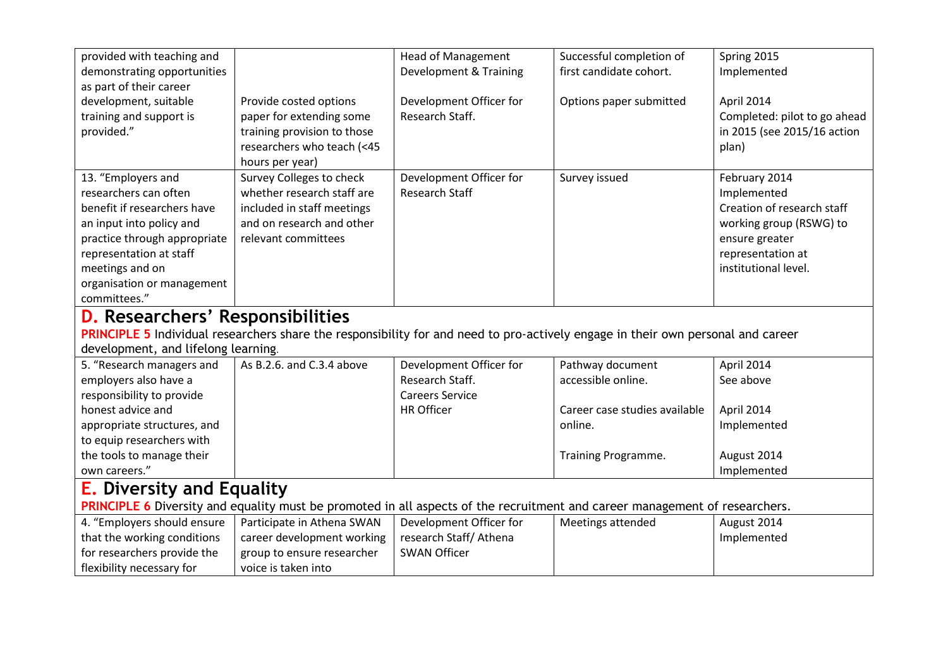| provided with teaching and                                                                                                       |                             | <b>Head of Management</b> | Successful completion of      | Spring 2015                  |  |
|----------------------------------------------------------------------------------------------------------------------------------|-----------------------------|---------------------------|-------------------------------|------------------------------|--|
| demonstrating opportunities                                                                                                      |                             | Development & Training    | first candidate cohort.       | Implemented                  |  |
| as part of their career                                                                                                          |                             |                           |                               |                              |  |
| development, suitable                                                                                                            | Provide costed options      | Development Officer for   | Options paper submitted       | April 2014                   |  |
| training and support is                                                                                                          | paper for extending some    | Research Staff.           |                               | Completed: pilot to go ahead |  |
| provided."                                                                                                                       | training provision to those |                           |                               | in 2015 (see 2015/16 action  |  |
|                                                                                                                                  | researchers who teach (<45  |                           |                               | plan)                        |  |
|                                                                                                                                  | hours per year)             |                           |                               |                              |  |
| 13. "Employers and                                                                                                               | Survey Colleges to check    | Development Officer for   | Survey issued                 | February 2014                |  |
| researchers can often                                                                                                            | whether research staff are  | <b>Research Staff</b>     |                               | Implemented                  |  |
| benefit if researchers have                                                                                                      | included in staff meetings  |                           |                               | Creation of research staff   |  |
| an input into policy and                                                                                                         | and on research and other   |                           |                               | working group (RSWG) to      |  |
| practice through appropriate                                                                                                     | relevant committees         |                           |                               | ensure greater               |  |
| representation at staff                                                                                                          |                             |                           |                               | representation at            |  |
| meetings and on                                                                                                                  |                             |                           |                               | institutional level.         |  |
| organisation or management                                                                                                       |                             |                           |                               |                              |  |
| committees."                                                                                                                     |                             |                           |                               |                              |  |
| <b>D.</b> Researchers' Responsibilities                                                                                          |                             |                           |                               |                              |  |
| PRINCIPLE 5 Individual researchers share the responsibility for and need to pro-actively engage in their own personal and career |                             |                           |                               |                              |  |
| development, and lifelong learning.                                                                                              |                             |                           |                               |                              |  |
| 5. "Research managers and                                                                                                        | As B.2.6. and C.3.4 above   | Development Officer for   | Pathway document              | April 2014                   |  |
| employers also have a                                                                                                            |                             | Research Staff.           | accessible online.            | See above                    |  |
| responsibility to provide                                                                                                        |                             | <b>Careers Service</b>    |                               |                              |  |
| honest advice and                                                                                                                |                             | <b>HR Officer</b>         | Career case studies available | April 2014                   |  |
| appropriate structures, and                                                                                                      |                             |                           | online.                       | Implemented                  |  |
| to equip researchers with                                                                                                        |                             |                           |                               |                              |  |
| the tools to manage their                                                                                                        |                             |                           | Training Programme.           | August 2014                  |  |
| own careers."                                                                                                                    |                             |                           |                               | Implemented                  |  |
| <b>E.</b> Diversity and Equality                                                                                                 |                             |                           |                               |                              |  |
| PRINCIPLE 6 Diversity and equality must be promoted in all aspects of the recruitment and career management of researchers.      |                             |                           |                               |                              |  |
| 4. "Employers should ensure                                                                                                      | Participate in Athena SWAN  | Development Officer for   | Meetings attended             | August 2014                  |  |
| that the working conditions                                                                                                      | career development working  | research Staff/ Athena    |                               | Implemented                  |  |
| for researchers provide the                                                                                                      | group to ensure researcher  | <b>SWAN Officer</b>       |                               |                              |  |
| flexibility necessary for                                                                                                        | voice is taken into         |                           |                               |                              |  |